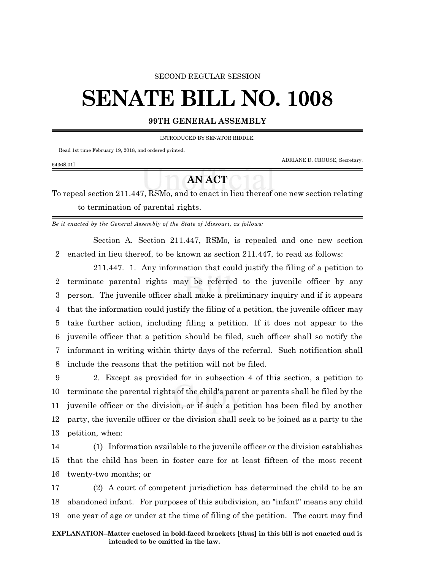#### SECOND REGULAR SESSION

# **SENATE BILL NO. 1008**

#### **99TH GENERAL ASSEMBLY**

INTRODUCED BY SENATOR RIDDLE.

Read 1st time February 19, 2018, and ordered printed.

ADRIANE D. CROUSE, Secretary.

### 6436S.01I

## **AN ACT**

To repeal section 211.447, RSMo, and to enact in lieu thereof one new section relating to termination of parental rights.

*Be it enacted by the General Assembly of the State of Missouri, as follows:*

Section A. Section 211.447, RSMo, is repealed and one new section 2 enacted in lieu thereof, to be known as section 211.447, to read as follows:

211.447. 1. Any information that could justify the filing of a petition to terminate parental rights may be referred to the juvenile officer by any person. The juvenile officer shall make a preliminary inquiry and if it appears that the information could justify the filing of a petition, the juvenile officer may take further action, including filing a petition. If it does not appear to the juvenile officer that a petition should be filed, such officer shall so notify the informant in writing within thirty days of the referral. Such notification shall include the reasons that the petition will not be filed.

 2. Except as provided for in subsection 4 of this section, a petition to terminate the parental rights of the child's parent or parents shall be filed by the juvenile officer or the division, or if such a petition has been filed by another party, the juvenile officer or the division shall seek to be joined as a party to the petition, when:

14 (1) Information available to the juvenile officer or the division establishes 15 that the child has been in foster care for at least fifteen of the most recent 16 twenty-two months; or

17 (2) A court of competent jurisdiction has determined the child to be an 18 abandoned infant. For purposes of this subdivision, an "infant" means any child 19 one year of age or under at the time of filing of the petition. The court may find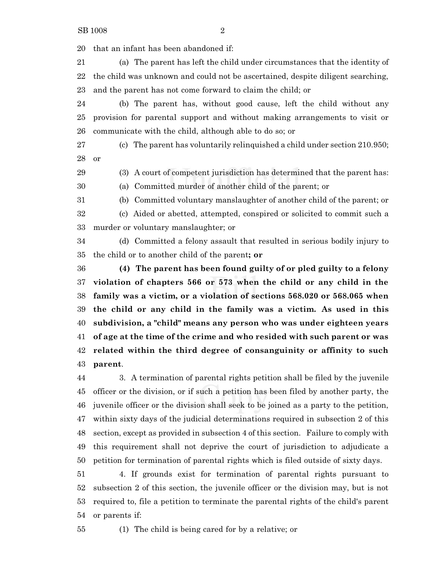that an infant has been abandoned if:

 (a) The parent has left the child under circumstances that the identity of the child was unknown and could not be ascertained, despite diligent searching, and the parent has not come forward to claim the child; or

 (b) The parent has, without good cause, left the child without any provision for parental support and without making arrangements to visit or communicate with the child, although able to do so; or

 (c) The parent has voluntarily relinquished a child under section 210.950; or

(3) A court of competent jurisdiction has determined that the parent has:

(a) Committed murder of another child of the parent; or

(b) Committed voluntary manslaughter of another child of the parent; or

 (c) Aided or abetted, attempted, conspired or solicited to commit such a murder or voluntary manslaughter; or

 (d) Committed a felony assault that resulted in serious bodily injury to the child or to another child of the parent**; or**

 **(4) The parent has been found guilty of or pled guilty to a felony violation of chapters 566 or 573 when the child or any child in the family was a victim, or a violation of sections 568.020 or 568.065 when the child or any child in the family was a victim. As used in this subdivision, a "child" means any person who was under eighteen years of age at the time of the crime and who resided with such parent or was related within the third degree of consanguinity or affinity to such parent**.

 3. A termination of parental rights petition shall be filed by the juvenile officer or the division, or if such a petition has been filed by another party, the juvenile officer or the division shall seek to be joined as a party to the petition, within sixty days of the judicial determinations required in subsection 2 of this section, except as provided in subsection 4 of this section. Failure to comply with this requirement shall not deprive the court of jurisdiction to adjudicate a petition for termination of parental rights which is filed outside of sixty days.

 4. If grounds exist for termination of parental rights pursuant to subsection 2 of this section, the juvenile officer or the division may, but is not required to, file a petition to terminate the parental rights of the child's parent or parents if:

(1) The child is being cared for by a relative; or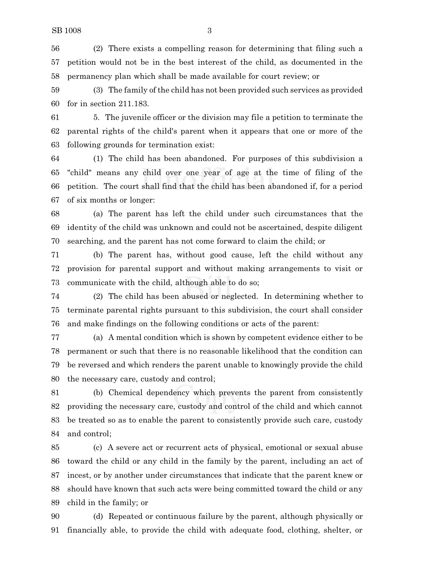(2) There exists a compelling reason for determining that filing such a petition would not be in the best interest of the child, as documented in the permanency plan which shall be made available for court review; or

 (3) The family of the child has not been provided such services as provided for in section 211.183.

 5. The juvenile officer or the division may file a petition to terminate the parental rights of the child's parent when it appears that one or more of the following grounds for termination exist:

 (1) The child has been abandoned. For purposes of this subdivision a "child" means any child over one year of age at the time of filing of the petition. The court shall find that the child has been abandoned if, for a period of six months or longer:

 (a) The parent has left the child under such circumstances that the identity of the child was unknown and could not be ascertained, despite diligent searching, and the parent has not come forward to claim the child; or

 (b) The parent has, without good cause, left the child without any provision for parental support and without making arrangements to visit or communicate with the child, although able to do so;

 (2) The child has been abused or neglected. In determining whether to terminate parental rights pursuant to this subdivision, the court shall consider and make findings on the following conditions or acts of the parent:

 (a) A mental condition which is shown by competent evidence either to be permanent or such that there is no reasonable likelihood that the condition can be reversed and which renders the parent unable to knowingly provide the child the necessary care, custody and control;

 (b) Chemical dependency which prevents the parent from consistently providing the necessary care, custody and control of the child and which cannot be treated so as to enable the parent to consistently provide such care, custody and control;

 (c) A severe act or recurrent acts of physical, emotional or sexual abuse toward the child or any child in the family by the parent, including an act of incest, or by another under circumstances that indicate that the parent knew or should have known that such acts were being committed toward the child or any child in the family; or

 (d) Repeated or continuous failure by the parent, although physically or financially able, to provide the child with adequate food, clothing, shelter, or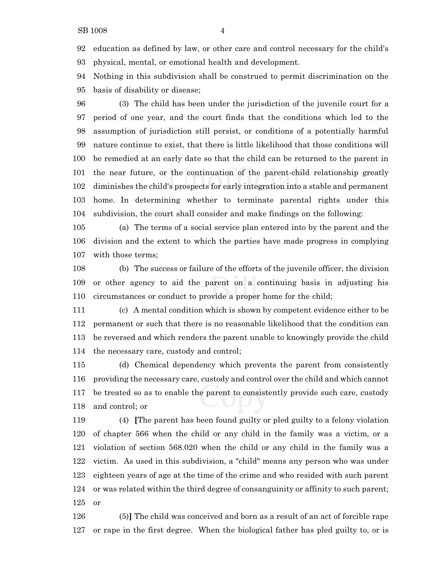education as defined by law, or other care and control necessary for the child's physical, mental, or emotional health and development.

 Nothing in this subdivision shall be construed to permit discrimination on the basis of disability or disease;

 (3) The child has been under the jurisdiction of the juvenile court for a period of one year, and the court finds that the conditions which led to the assumption of jurisdiction still persist, or conditions of a potentially harmful nature continue to exist, that there is little likelihood that those conditions will be remedied at an early date so that the child can be returned to the parent in the near future, or the continuation of the parent-child relationship greatly diminishes the child's prospects for early integration into a stable and permanent home. In determining whether to terminate parental rights under this subdivision, the court shall consider and make findings on the following:

 (a) The terms of a social service plan entered into by the parent and the division and the extent to which the parties have made progress in complying with those terms;

 (b) The success or failure of the efforts of the juvenile officer, the division or other agency to aid the parent on a continuing basis in adjusting his circumstances or conduct to provide a proper home for the child;

 (c) A mental condition which is shown by competent evidence either to be permanent or such that there is no reasonable likelihood that the condition can be reversed and which renders the parent unable to knowingly provide the child the necessary care, custody and control;

 (d) Chemical dependency which prevents the parent from consistently providing the necessary care, custody and control over the child and which cannot be treated so as to enable the parent to consistently provide such care, custody and control; or

 (4) **[**The parent has been found guilty or pled guilty to a felony violation of chapter 566 when the child or any child in the family was a victim, or a violation of section 568.020 when the child or any child in the family was a victim. As used in this subdivision, a "child" means any person who was under eighteen years of age at the time of the crime and who resided with such parent or was related within the third degree of consanguinity or affinity to such parent; or

 (5)**]** The child was conceived and born as a result of an act of forcible rape or rape in the first degree. When the biological father has pled guilty to, or is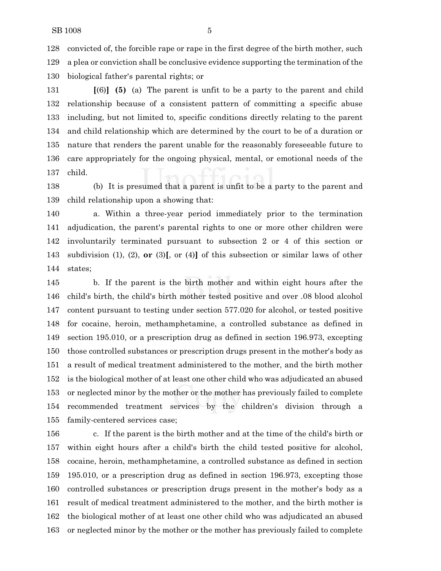convicted of, the forcible rape or rape in the first degree of the birth mother, such a plea or conviction shall be conclusive evidence supporting the termination of the biological father's parental rights; or

 **[**(6)**] (5)** (a) The parent is unfit to be a party to the parent and child relationship because of a consistent pattern of committing a specific abuse including, but not limited to, specific conditions directly relating to the parent and child relationship which are determined by the court to be of a duration or nature that renders the parent unable for the reasonably foreseeable future to care appropriately for the ongoing physical, mental, or emotional needs of the child.

 (b) It is presumed that a parent is unfit to be a party to the parent and child relationship upon a showing that:

 a. Within a three-year period immediately prior to the termination adjudication, the parent's parental rights to one or more other children were involuntarily terminated pursuant to subsection 2 or 4 of this section or subdivision (1), (2), **or** (3)**[**, or (4)**]** of this subsection or similar laws of other states;

 b. If the parent is the birth mother and within eight hours after the child's birth, the child's birth mother tested positive and over .08 blood alcohol content pursuant to testing under section 577.020 for alcohol, or tested positive for cocaine, heroin, methamphetamine, a controlled substance as defined in section 195.010, or a prescription drug as defined in section 196.973, excepting those controlled substances or prescription drugs present in the mother's body as a result of medical treatment administered to the mother, and the birth mother is the biological mother of at least one other child who was adjudicated an abused or neglected minor by the mother or the mother has previously failed to complete recommended treatment services by the children's division through a family-centered services case;

 c. If the parent is the birth mother and at the time of the child's birth or within eight hours after a child's birth the child tested positive for alcohol, cocaine, heroin, methamphetamine, a controlled substance as defined in section 195.010, or a prescription drug as defined in section 196.973, excepting those controlled substances or prescription drugs present in the mother's body as a result of medical treatment administered to the mother, and the birth mother is the biological mother of at least one other child who was adjudicated an abused or neglected minor by the mother or the mother has previously failed to complete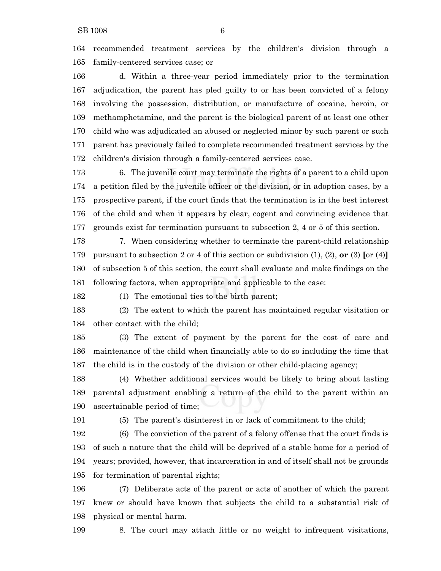recommended treatment services by the children's division through a family-centered services case; or

 d. Within a three-year period immediately prior to the termination adjudication, the parent has pled guilty to or has been convicted of a felony involving the possession, distribution, or manufacture of cocaine, heroin, or methamphetamine, and the parent is the biological parent of at least one other child who was adjudicated an abused or neglected minor by such parent or such parent has previously failed to complete recommended treatment services by the children's division through a family-centered services case.

 6. The juvenile court may terminate the rights of a parent to a child upon a petition filed by the juvenile officer or the division, or in adoption cases, by a prospective parent, if the court finds that the termination is in the best interest of the child and when it appears by clear, cogent and convincing evidence that grounds exist for termination pursuant to subsection 2, 4 or 5 of this section.

178 7. When considering whether to terminate the parent-child relationship pursuant to subsection 2 or 4 of this section or subdivision (1), (2), **or** (3) **[**or (4)**]** of subsection 5 of this section, the court shall evaluate and make findings on the following factors, when appropriate and applicable to the case:

(1) The emotional ties to the birth parent;

 (2) The extent to which the parent has maintained regular visitation or other contact with the child;

 (3) The extent of payment by the parent for the cost of care and maintenance of the child when financially able to do so including the time that the child is in the custody of the division or other child-placing agency;

 (4) Whether additional services would be likely to bring about lasting parental adjustment enabling a return of the child to the parent within an ascertainable period of time;

(5) The parent's disinterest in or lack of commitment to the child;

 (6) The conviction of the parent of a felony offense that the court finds is of such a nature that the child will be deprived of a stable home for a period of years; provided, however, that incarceration in and of itself shall not be grounds for termination of parental rights;

 (7) Deliberate acts of the parent or acts of another of which the parent knew or should have known that subjects the child to a substantial risk of physical or mental harm.

8. The court may attach little or no weight to infrequent visitations,